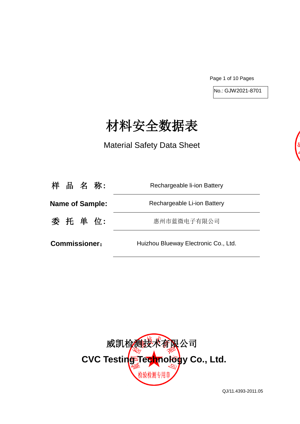Page 1 of 10 Pages

No.: GJW2021-8701

# 材料安全数据表

Material Safety Data Sheet

| 样 品 名 称:               | Rechargeable li-ion Battery          |
|------------------------|--------------------------------------|
| <b>Name of Sample:</b> | Rechargeable Li-ion Battery          |
| 委 托 单 位:               | 惠州市蓝微电子有限公司                          |
| <b>Commissioner:</b>   | Huizhou Blueway Electronic Co., Ltd. |



QJ/11.4393-2011.05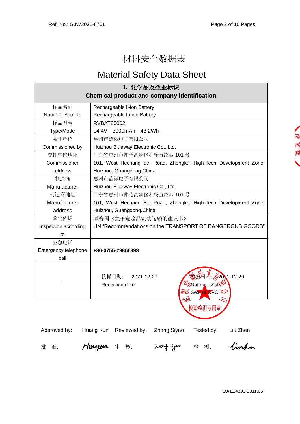## 材料安全数据表

## Material Safety Data Sheet

| 1. 化学品及企业标识                                        |                                                                                               |  |  |  |
|----------------------------------------------------|-----------------------------------------------------------------------------------------------|--|--|--|
| <b>Chemical product and company identification</b> |                                                                                               |  |  |  |
| 样品名称                                               | Rechargeable li-ion Battery                                                                   |  |  |  |
| Name of Sample                                     | Rechargeable Li-ion Battery                                                                   |  |  |  |
| 样品型号                                               | <b>RVBAT85002</b>                                                                             |  |  |  |
| Type/Mode                                          | 14.4V 3000mAh 43.2Wh                                                                          |  |  |  |
| 委托单位                                               | 惠州市蓝微电子有限公司                                                                                   |  |  |  |
| Commissioned by                                    | Huizhou Blueway Electronic Co., Ltd.                                                          |  |  |  |
| 委托单位地址                                             | 广东省惠州市仲恺高新区和畅五路西 101号                                                                         |  |  |  |
| Commissioner                                       | 101, West Hechang 5th Road, Zhongkai High-Tech Development Zone,                              |  |  |  |
| address                                            | Huizhou, Guangdong.China                                                                      |  |  |  |
| 制造商                                                | 惠州市蓝微电子有限公司                                                                                   |  |  |  |
| Manufacturer                                       | Huizhou Blueway Electronic Co., Ltd.                                                          |  |  |  |
| 制造商地址                                              | 广东省惠州市仲恺高新区和畅五路西 101号                                                                         |  |  |  |
| Manufacturer                                       | 101, West Hechang 5th Road, Zhongkai High-Tech Development Zone,                              |  |  |  |
| address                                            | Huizhou, Guangdong.China                                                                      |  |  |  |
| 鉴定依据                                               | 联合国《关于危险品货物运输的建议书》                                                                            |  |  |  |
| Inspection according                               | UN "Recommendations on the TRANSPORT OF DANGEROUS GOODS"                                      |  |  |  |
| to                                                 |                                                                                               |  |  |  |
| 应急电话                                               |                                                                                               |  |  |  |
| Emergency telephone                                | +86-0755-29866393                                                                             |  |  |  |
| call                                               |                                                                                               |  |  |  |
|                                                    | $2021 - 12 - 29$<br>接样日期:<br>2021-12-27<br>Date of issue<br>Receiving date:<br>Seal of CVC De |  |  |  |
|                                                    | 检验检测专用章                                                                                       |  |  |  |

Approved by: Huang Kun Reviewed by: Zhang Siyao Tested by: Liu Zhen

風別名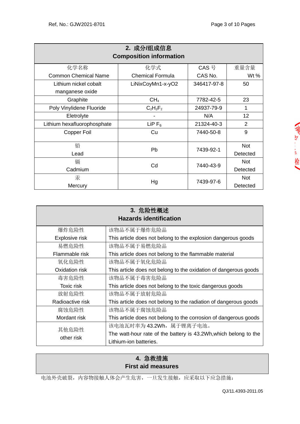| 2. 成分/组成信息<br><b>Composition information</b> |                         |                         |                |  |  |  |
|----------------------------------------------|-------------------------|-------------------------|----------------|--|--|--|
| 化学名称                                         | 化学式                     | CAS 号                   | 重量含量           |  |  |  |
| <b>Common Chemical Name</b>                  | <b>Chemical Formula</b> | CAS No.                 | Wt%            |  |  |  |
| Lithium nickel cobalt                        | LiNixCoyMn1-x-yO2       | 346417-97-8             | 50             |  |  |  |
| manganese oxide                              |                         |                         |                |  |  |  |
| Graphite                                     | CH <sub>4</sub>         | 7782-42-5               | 23             |  |  |  |
| Poly Vinylidene Fluoride                     | $C_2H_2F_2$             | 24937-79-9              | 1              |  |  |  |
| Eletrolyte                                   |                         | N/A                     | 12             |  |  |  |
| Lithium hexafluorophosphate                  | LiP $F_6$               | 21324-40-3              | $\overline{2}$ |  |  |  |
| Copper Foil                                  | Cu                      | 7440-50-8               | 9              |  |  |  |
|                                              |                         |                         |                |  |  |  |
| 铅                                            | Pb                      | <b>Not</b><br>7439-92-1 |                |  |  |  |
| Lead                                         |                         |                         | Detected       |  |  |  |
| 镉                                            |                         | 7440-43-9               | <b>Not</b>     |  |  |  |
| Cadmium                                      | Cd                      |                         | Detected       |  |  |  |
| 汞                                            |                         |                         | <b>Not</b>     |  |  |  |
| Mercury                                      | Hg                      | 7439-97-6               | Detected       |  |  |  |

| 3. 危险性概述<br><b>Hazards identification</b> |                                                                  |  |  |  |
|-------------------------------------------|------------------------------------------------------------------|--|--|--|
| 爆炸危险性                                     | 该物品不属于爆炸危险品                                                      |  |  |  |
| Explosive risk                            | This article does not belong to the explosion dangerous goods    |  |  |  |
| 易燃危险性                                     | 该物品不属于易燃危险品                                                      |  |  |  |
| Flammable risk                            | This article does not belong to the flammable material           |  |  |  |
| 氧化危险性                                     | 该物品不属于氧化危险品                                                      |  |  |  |
| Oxidation risk                            | This article does not belong to the oxidation of dangerous goods |  |  |  |
| 毒害危险性                                     | 该物品不属于毒害危险品                                                      |  |  |  |
| Toxic risk                                | This article does not belong to the toxic dangerous goods        |  |  |  |
| 放射危险性                                     | 该物品不属于放射危险品                                                      |  |  |  |
| Radioactive risk                          | This article does not belong to the radiation of dangerous goods |  |  |  |
| 腐蚀危险性                                     | 该物品不属于腐蚀危险品                                                      |  |  |  |
| Mordant risk                              | This article does not belong to the corrosion of dangerous goods |  |  |  |
| 其他危险性<br>other risk                       | 该电池瓦时率为 43.2Wh, 属于锂离子电池。                                         |  |  |  |
|                                           | The watt-hour rate of the battery is 43.2Wh, which belong to the |  |  |  |
|                                           | Lithium-ion batteries.                                           |  |  |  |

## **4.** 急救措施 **First aid measures**

电池外壳破裂,内容物接触人体会产生危害,一旦发生接触,应采取以下应急措施: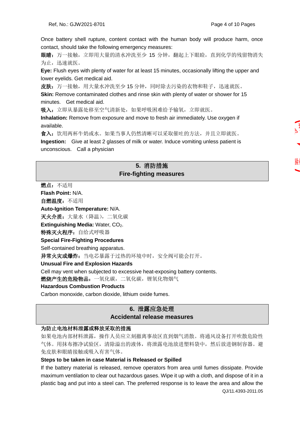Once battery shell rupture, content contact with the human body will produce harm, once contact, should take the following emergency measures:

眼睛: 万一接触, 立即用大量的清水冲洗至少 15 分钟, 翻起上下眼睑, 直到化学的残留物消失 为止,迅速就医。

**Eye:** Flush eyes with plenty of water for at least 15 minutes, occasionally lifting the upper and lower eyelids. Get medical aid.

皮肤:万一接触,用大量水冲洗至少15分钟,同时除去污染的衣物和鞋子,迅速就医。

**Skin:** Remove contaminated clothes and rinse skin with plenty of water or shower for 15 minutes. Get medical aid.

吸入:立即从暴露处移至空气清新处,如果呼吸困难给予输氧,立即就医。

**Inhalation:** Remove from exposure and move to fresh air immediately. Use oxygen if available.

食入:饮用两杯牛奶或水。如果当事人仍然清晰可以采取催吐的方法,并且立即就医。

**Ingestion:** Give at least 2 glasses of milk or water. Induce vomiting unless patient is unconscious. Call a physician

## **5.** 消防措施 **Fire-fighting measures**

燃点:不适用 **Flash Point:** N/A. 自燃温度:不适用 **Auto-Ignition Temperature:** N/A. 灭火介质: 大量水(降温), 二氧化碳 **Extinguishing Media: Water, CO<sub>2</sub>.** 特殊灭火程序: 自给式呼吸器 **Special Fire-Fighting Procedures**  Self-contained breathing apparatus. 异常火灾或爆炸: 当电芯暴露于过热的环境中时, 安全阀可能会打开。 **Unusual Fire and Explosion Hazards**  Cell may vent when subjected to excessive heat-exposing battery contents. 燃烧产生的危险物品:一氧化碳,二氧化碳,锂氧化物烟气 **Hazardous Combustion Products**  Carbon monoxide, carbon dioxide, lithium oxide fumes.

## **6.** 泄露应急处理 **Accidental release measures**

#### 为防止电池材料泄露或释放采取的措施

如果电池内部材料泄露,操作人员应立刻撤离事故区直到烟气消散。将通风设备打开吹散危险性 气体。用抹布擦净试验区,清除溢出的液体,将泄露电池放进塑料袋中,然后放进钢制容器。避 免皮肤和眼睛接触或吸入有害气体。

#### **Steps to be taken in case Material is Released or Spilled**

QJ/11.4393-2011.05 If the battery material is released, remove operators from area until fumes dissipate. Provide maximum ventilation to clear out hazardous gases. Wipe it up with a cloth, and dispose of it in a plastic bag and put into a steel can. The preferred response is to leave the area and allow the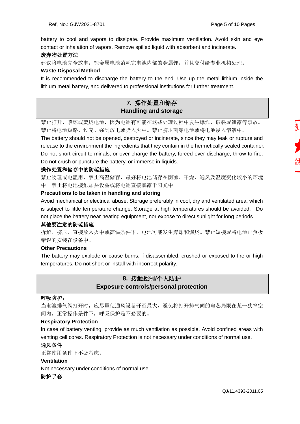battery to cool and vapors to dissipate. Provide maximum ventilation. Avoid skin and eye contact or inhalation of vapors. Remove spilled liquid with absorbent and incinerate.

#### 废弃物处置方法

建议将电池完全放电,锂金属电池消耗完电池内部的金属锂,并且交付给专业机构处理。

#### **Waste Disposal Method**

It is recommended to discharge the battery to the end. Use up the metal lithium inside the lithium metal battery, and delivered to professional institutions for further treatment.

## **7.** 操作处置和储存 **Handling and storage**

禁止打开、毁坏或焚烧电池,因为电池有可能在这些处理过程中发生爆炸、破裂或泄露等事故。 禁止将电池短路、过充、强制放电或扔入火中。禁止挤压刺穿电池或将电池浸入溶液中。

The battery should not be opened, destroyed or incinerate, since they may leak or rupture and release to the environment the ingredients that they contain in the hermetically sealed container. Do not short circuit terminals, or over charge the battery, forced over-discharge, throw to fire. Do not crush or puncture the battery, or immerse in liquids.

#### 操作处置和储存中的防范措施

禁止物理或电滥用,禁止高温储存,最好将电池储存在阴凉、干燥、通风及温度变化较小的环境 中。禁止将电池接触加热设备或将电池直接暴露于阳光中。

#### **Precautions to be taken in handling and storing**

Avoid mechanical or electrical abuse. Storage preferably in cool, dry and ventilated area, which is subject to little temperature change. Storage at high temperatures should be avoided. Do not place the battery near heating equipment, nor expose to direct sunlight for long periods.

#### 其他要注意的防范措施

拆解、挤压、直接放入火中或高温条件下,电池可能发生爆炸和燃烧。禁止短接或将电池正负极 错误的安装在设备中。

#### **Other Precautions**

The battery may explode or cause burns, if disassembled, crushed or exposed to fire or high temperatures. Do not short or install with incorrect polarity.

## **8.** 接触控制**/**个人防护 **Exposure controls/personal protection**

#### 呼吸防护:

当电池排气阀打开时,应尽量使通风设备开至最大,避免将打开排气阀的电芯局限在某一狭窄空 间内。正常操作条件下,呼吸保护是不必要的。

#### **Respiratory Protection**

In case of battery venting, provide as much ventilation as possible. Avoid confined areas with venting cell cores. Respiratory Protection is not necessary under conditions of normal use.

#### 通风条件

正常使用条件下不必考虑。

#### **Ventilation**

Not necessary under conditions of normal use.

#### 防护手套

支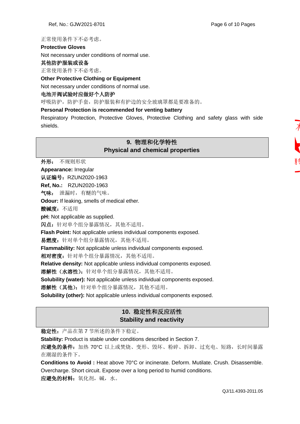#### 正常使用条件下不必考虑。

#### **Protective Gloves**

Not necessary under conditions of normal use.

#### 其他防护服装或设备

正常使用条件下不必考虑。

#### **Other Protective Clothing or Equipment**

Not necessary under conditions of normal use.

#### 电池开阀试验时应做好个人防护

呼吸防护,防护手套,防护服装和有护边的安全玻璃罩都是要准备的。

#### **Personal Protection is recommended for venting battery**

Respiratory Protection, Protective Gloves, Protective Clothing and safety glass with side shields.

## **9.** 物理和化学特性 **Physical and chemical properties**

外形: 不规则形状

**Appearance:** Irregular

认证编号: RZUN2020-1963

**Ref, No.:** RZUN2020-1963

气味: 泄漏时,有醚的气味。

**Odour:** If leaking, smells of medical ether.

酸碱度: 不适用

**pH:** Not applicable as supplied.

闪点:针对单个组分暴露情况,其他不适用。

**Flash Point:** Not applicable unless individual components exposed.

易燃度:针对单个组分暴露情况,其他不适用。

**Flammability:** Not applicable unless individual components exposed.

相对密度: 针对单个组分暴露情况, 其他不适用。

**Relative density:** Not applicable unless individual components exposed.

溶解性 (水溶性): 针对单个组分暴露情况,其他不适用。

**Solubility (water):** Not applicable unless individual components exposed.

溶解性(其他): 针对单个组分暴露情况, 其他不适用。

**Solubility (other):** Not applicable unless individual components exposed.

## **10.** 稳定性和反应活性 **Stability and reactivity**

稳定性:产品在第 7 节所述的条件下稳定。

**Stability:** Product is stable under conditions described in Section 7.

应避免的条件: 加热 70℃ 以上或焚烧、变形、毁坏、粉碎、拆卸、过充电、短路, 长时间暴露 在潮湿的条件下。

**Conditions to Avoid :** Heat above 70°C or incinerate. Deform. Mutilate. Crush. Disassemble. Overcharge. Short circuit. Expose over a long period to humid conditions.

应避免的材料:氧化剂,碱,水。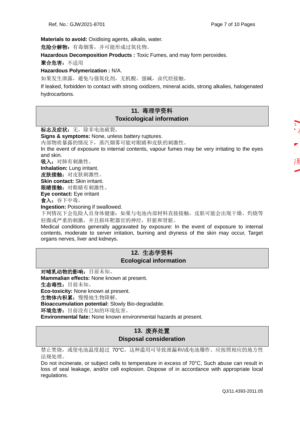**Materials to avoid:** Oxidising agents, alkalis, water.

危险分解物:有毒烟雾,并可能形成过氧化物。

**Hazardous Decomposition Products :** Toxic Fumes, and may form peroxides.

聚合危害:不适用

#### **Hazardous Polymerization :** N/A.

如果发生泄露,避免与强氧化剂,无机酸,强碱,卤代烃接触。

If leaked, forbidden to contact with strong oxidizers, mineral acids, strong alkalies, halogenated hydrocarbons.

## **11.** 毒理学资料 **Toxicological information**

标志及症状: 无, 除非电池破裂。

**Signs & symptoms:** None, unless battery ruptures.

内部物质暴露的情况下,蒸汽烟雾可能对眼睛和皮肤的刺激性。

In the event of exposure to internal contents, vapour fumes may be very irritating to the eyes and skin.

吸入: 对肺有刺激性。

**Inhalation:** Lung irritant.

皮肤接触:对皮肤刺激性。

**Skin contact:** Skin irritant.

眼睛接触: 对眼睛有刺激性。

**Eye contact:** Eye irritant

食入: 吞下中毒。

**Ingestion:** Poisoning if swallowed.

下列情况下会危险人员身体健康:如果与电池内部材料直接接触,皮肤可能会出现干燥、灼烧等 轻微或严重的刺激,并且损坏靶器官的神经,肝脏和肾脏。

Medical conditions generally aggravated by exposure: In the event of exposure to internal contents, moderate to server irritation, burning and dryness of the skin may occur, Target organs nerves, liver and kidneys.

## **12.** 生态学资料 **Ecological information**

对哺乳动物的影响:目前未知。 **Mammalian effects:** None known at present. 生态毒性:目前未知。 **Eco-toxicity:** None known at present. 生物体内积累:慢慢地生物降解。 **Bioaccumulation potential:** Slowly Bio-degradable. 环境危害:目前没有已知的环境危害。 **Environmental fate:** None known environmental hazards at present.

## **13.** 废弃处置 **Disposal consideration**

禁止焚烧,或使电池温度超过 70°C,这种滥用可导致泄漏和/或电池爆炸。应按照相应的地方性 法规处理。

Do not incinerate, or subject cells to temperature in excess of 70°C, Such abuse can result in loss of seal leakage, and/or cell explosion. Dispose of in accordance with appropriate local regulations.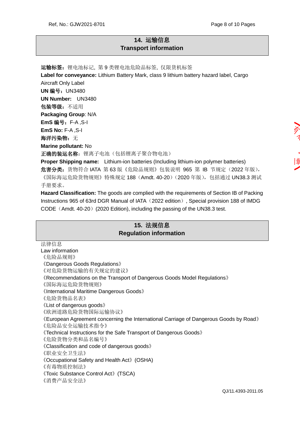## **14.** 运输信息 **Transport information**

运输标签: 锂电池标记, 第 9 类锂电池危险品标签, 仅限货机标签 **Label for conveyance:** Lithium Battery Mark, class 9 lithium battery hazard label, Cargo Aircraft Only Label **UN** 编号:UN3480 **UN Number:** UN3480 包装等级:不适用 **Packaging Group**: N/A **EmS** 编号:F-A ,S-I **EmS No:** F-A ,S-I 海洋污染物: 无 **Marine pollutant:** No 正确的装运名称: 锂离子电池(包括锂离子聚合物电池) **Proper Shipping name:** Lithium-ion batteries (Including lithium-ion polymer batteries) 危害分类: 货物符合 IATA 第 63 版《危险品规则》包装说明 965 第 IB 节规定 (2022 年版), 《国际海运危险货物规则》特殊规定 188 (Amdt. 40-20) (2020 年版), 包括通过 UN38.3 测试

手册要求。

**Hazard Classification:** The goods are complied with the requirements of Section IB of Packing Instructions 965 of 63rd DGR Manual of IATA (2022 edition), Special provision 188 of IMDG CODE (Amdt.  $40-20$ ) (2020 Edition), including the passing of the UN38.3 test.

## **15.** 法规信息 **Regulation information**

QJ/11.4393-2011.05 法律信息 Law information 《危险品规则》 《Dangerous Goods Regulations》 《对危险货物运输的有关规定的建议》 《Recommendations on the Transport of Dangerous Goods Model Regulations》 《国际海运危险货物规则》 《International Maritime Dangerous Goods》 《危险货物品名表》 《List of dangerous goods》 《欧洲道路危险货物国际运输协议》 《European Agreement concerning the International Carriage of Dangerous Goods by Road》 《危险品安全运输技术指令》 《Technical Instructions for the Safe Transport of Dangerous Goods》 《危险货物分类和品名编号》 《Classification and code of dangerous goods》 《职业安全卫生法》 《Occupational Safety and Health Act》(OSHA) 《有毒物质控制法》 《Toxic Substance Control Act》(TSCA) 《消费产品安全法》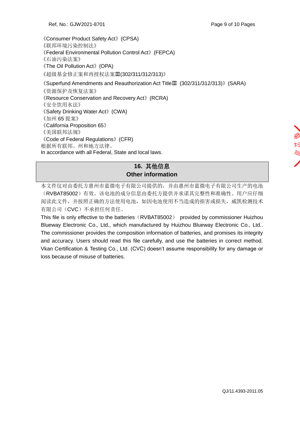QJ/11.4393-2011.05

《Consumer Product Safety Act》(CPSA) 《联邦环境污染控制法》 《Federal Environmental Pollution Control Act》(FEPCA) 《石油污染法案》 《The Oil Pollution Act》(OPA) 《超级基金修正案和再授权法案Ⅲ(302/311/312/313)》 《Superfund Amendments and Reauthorization Act TitleⅢ (302/311/312/313)》(SARA)

《资源保护及恢复法案》 《Resource Conservation and Recovery Act》(RCRA) 《安全饮用水法》 《Safety Drinking Water Act》(CWA) 《加州 65 提案》 《California Proposition 65》 《美国联邦法规》 《Code of Federal Regulations》(CFR) 根据所有联邦、州和地方法律。 In accordance with all Federal, State and local laws.

## **16.** 其他信息 **Other information**

本文件仅对由委托方惠州市蓝微电子有限公司提供的,并由惠州市蓝微电子有限公司生产的电池 (RVBAT85002)有效。该电池的成分信息由委托方提供并承诺其完整性和准确性。用户应仔细 阅读此文件,并按照正确的方法使用电池,如因电池使用不当造成的损害或损失,威凯检测技术 有限公司(CVC)不承担任何责任。

This file is only effective to the batteries (RVBAT85002) provided by commissioner Huizhou Blueway Electronic Co., Ltd., which manufactured by Huizhou Blueway Electronic Co., Ltd.. The commissioner provides the composition information of batteries, and promises its integrity and accuracy. Users should read this file carefully, and use the batteries in correct method. Vkan Certification & Testing Co., Ltd. (CVC) doesn't assume responsibility for any damage or loss because of misuse of batteries.